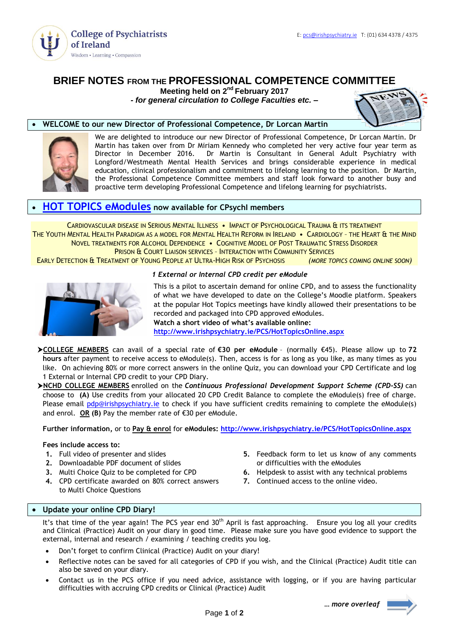

# **BRIEF NOTES FROM THE PROFESSIONAL COMPETENCE COMMITTEE**

**Meeting held on 2<sup>nd</sup> February 2017** 

*- for general circulation to College Faculties etc. –*



# **WELCOME to our new Director of Professional Competence, Dr Lorcan Martin**



We are delighted to introduce our new Director of Professional Competence, Dr Lorcan Martin. Dr Martin has taken over from Dr Miriam Kennedy who completed her very active four year term as Director in December 2016. Dr Martin is Consultant in General Adult Psychiatry with Longford/Westmeath Mental Health Services and brings considerable experience in medical education, clinical professionalism and commitment to lifelong learning to the position. Dr Martin, the Professional Competence Committee members and staff look forward to another busy and proactive term developing Professional Competence and lifelong learning for psychiatrists.

# **[HOT TOPICS eModules](http://www.irishpsychiatry.ie/PCS/HotTopicsOnline.aspx) now available for CPsychI members**

CARDIOVASCULAR DISEASE IN SERIOUS MENTAL ILLNESS • IMPACT OF PSYCHOLOGICAL TRAUMA & ITS TREATMENT THE YOUTH MENTAL HEALTH PARADIGM AS A MODEL FOR MENTAL HEALTH REFORM IN IRELAND • CARDIOLOGY – THE HEART & THE MIND NOVEL TREATMENTS FOR ALCOHOL DEPENDENCE • COGNITIVE MODEL OF POST TRAUMATIC STRESS DISORDER PRISON & COURT LIAISON SERVICES – INTERACTION WITH COMMUNITY SERVICES EARLY DETECTION & TREATMENT OF YOUNG PEOPLE AT ULTRA-HIGH RISK OF PSYCHOSIS *(MORE TOPICS COMING ONLINE SOON)*

## *1 External or Internal CPD credit per eModule*

This is a pilot to ascertain demand for online CPD, and to assess the functionality of what we have developed to date on the College's Moodle platform. Speakers at the popular Hot Topics meetings have kindly allowed their presentations to be recorded and packaged into CPD approved eModules.

**Watch a short video of what's available online: <http://www.irishpsychiatry.ie/PCS/HotTopicsOnline.aspx>**

**COLLEGE MEMBERS** can avail of a special rate of **€30 per eModule** – (normally €45). Please allow up to **72 hours** after payment to receive access to eModule(s). Then, access is for as long as you like, as many times as you like. On achieving 80% or more correct answers in the online Quiz, you can download your CPD Certificate and log 1 External or Internal CPD credit to your CPD Diary.

**NCHD COLLEGE MEMBERS** enrolled on the *Continuous Professional Development Support Scheme (CPD-SS)* can choose to **(A)** Use credits from your allocated 20 CPD Credit Balance to complete the eModule(s) free of charge. Please email [pdp@irishpsychiatry.ie](mailto:pdp@irishpsychiatry.ie) to check if you have sufficient credits remaining to complete the eModule(s) and enrol. **OR (B)** Pay the member rate of €30 per eModule.

**Further information,** or to **Pay & enrol** for **eModules: <http://www.irishpsychiatry.ie/PCS/HotTopicsOnline.aspx>**

## **Fees include access to:**

- **1.** Full video of presenter and slides
- **2.** Downloadable PDF document of slides
- **3.** Multi Choice Quiz to be completed for CPD
- **4.** CPD certificate awarded on 80% correct answers to Multi Choice Questions
- **5.** Feedback form to let us know of any comments or difficulties with the eModules
- **6.** Helpdesk to assist with any technical problems
- **7.** Continued access to the online video.

# **[Update your online CPD Diary!](http://collegeofpsychiatryireland.newsweaver.co.uk/newsletter/1bcdch2t8xl13d8mgyqtf4?a=1&p=33459695&t=18724804)**

It's that time of the year again! The PCS year end 30<sup>th</sup> April is fast approaching. Ensure you log all your credits and Clinical (Practice) Audit on your diary in good time. Please make sure you have good evidence to support the external, internal and research / examining / teaching credits you log.

- Don't forget to confirm Clinical (Practice) Audit on your diary!
- Reflective notes can be saved for all categories of CPD if you wish, and the Clinical (Practice) Audit title can also be saved on your diary.
- Contact us in the PCS office if you need advice, assistance with logging, or if you are having particular difficulties with accruing CPD credits or Clinical (Practice) Audit